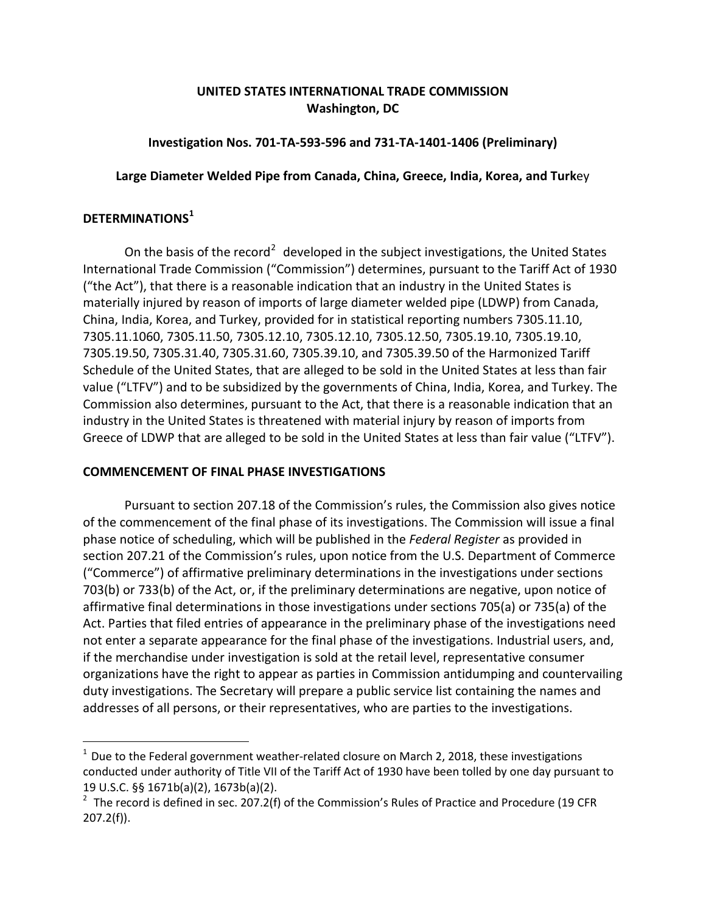# **UNITED STATES INTERNATIONAL TRADE COMMISSION Washington, DC**

## **Investigation Nos. 701-TA-593-596 and 731-TA-1401-1406 (Preliminary)**

## **Large Diameter Welded Pipe from Canada, China, Greece, India, Korea, and Turk**ey

## **DETERMINATIONS[1](#page-0-0)**

 $\overline{a}$ 

On the basis of the record<sup>[2](#page-0-1)</sup> developed in the subject investigations, the United States International Trade Commission ("Commission") determines, pursuant to the Tariff Act of 1930 ("the Act"), that there is a reasonable indication that an industry in the United States is materially injured by reason of imports of large diameter welded pipe (LDWP) from Canada, China, India, Korea, and Turkey, provided for in statistical reporting numbers 7305.11.10, 7305.11.1060, 7305.11.50, 7305.12.10, 7305.12.10, 7305.12.50, 7305.19.10, 7305.19.10, 7305.19.50, 7305.31.40, 7305.31.60, 7305.39.10, and 7305.39.50 of the Harmonized Tariff Schedule of the United States, that are alleged to be sold in the United States at less than fair value ("LTFV") and to be subsidized by the governments of China, India, Korea, and Turkey. The Commission also determines, pursuant to the Act, that there is a reasonable indication that an industry in the United States is threatened with material injury by reason of imports from Greece of LDWP that are alleged to be sold in the United States at less than fair value ("LTFV").

### **COMMENCEMENT OF FINAL PHASE INVESTIGATIONS**

Pursuant to section 207.18 of the Commission's rules, the Commission also gives notice of the commencement of the final phase of its investigations. The Commission will issue a final phase notice of scheduling, which will be published in the *Federal Register* as provided in section 207.21 of the Commission's rules, upon notice from the U.S. Department of Commerce ("Commerce") of affirmative preliminary determinations in the investigations under sections 703(b) or 733(b) of the Act, or, if the preliminary determinations are negative, upon notice of affirmative final determinations in those investigations under sections 705(a) or 735(a) of the Act. Parties that filed entries of appearance in the preliminary phase of the investigations need not enter a separate appearance for the final phase of the investigations. Industrial users, and, if the merchandise under investigation is sold at the retail level, representative consumer organizations have the right to appear as parties in Commission antidumping and countervailing duty investigations. The Secretary will prepare a public service list containing the names and addresses of all persons, or their representatives, who are parties to the investigations.

<span id="page-0-0"></span> $1$  Due to the Federal government weather-related closure on March 2, 2018, these investigations conducted under authority of Title VII of the Tariff Act of 1930 have been tolled by one day pursuant to 19 U.S.C. §§ 1671b(a)(2), 1673b(a)(2).

<span id="page-0-1"></span><sup>&</sup>lt;sup>2</sup> The record is defined in sec. 207.2(f) of the Commission's Rules of Practice and Procedure (19 CFR 207.2(f)).